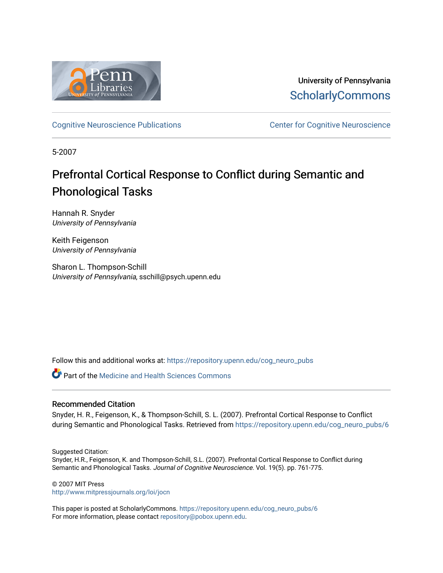

University of Pennsylvania **ScholarlyCommons** 

[Cognitive Neuroscience Publications](https://repository.upenn.edu/cog_neuro_pubs) **CENTE:** Center for Cognitive Neuroscience

5-2007

# Prefrontal Cortical Response to Conflict during Semantic and Phonological Tasks

Hannah R. Snyder University of Pennsylvania

Keith Feigenson University of Pennsylvania

Sharon L. Thompson-Schill University of Pennsylvania, sschill@psych.upenn.edu

Follow this and additional works at: [https://repository.upenn.edu/cog\\_neuro\\_pubs](https://repository.upenn.edu/cog_neuro_pubs?utm_source=repository.upenn.edu%2Fcog_neuro_pubs%2F6&utm_medium=PDF&utm_campaign=PDFCoverPages)

Part of the [Medicine and Health Sciences Commons](http://network.bepress.com/hgg/discipline/648?utm_source=repository.upenn.edu%2Fcog_neuro_pubs%2F6&utm_medium=PDF&utm_campaign=PDFCoverPages) 

## Recommended Citation

Snyder, H. R., Feigenson, K., & Thompson-Schill, S. L. (2007). Prefrontal Cortical Response to Conflict during Semantic and Phonological Tasks. Retrieved from [https://repository.upenn.edu/cog\\_neuro\\_pubs/6](https://repository.upenn.edu/cog_neuro_pubs/6?utm_source=repository.upenn.edu%2Fcog_neuro_pubs%2F6&utm_medium=PDF&utm_campaign=PDFCoverPages) 

Suggested Citation: Snyder, H.R., Feigenson, K. and Thompson-Schill, S.L. (2007). Prefrontal Cortical Response to Conflict during Semantic and Phonological Tasks. Journal of Cognitive Neuroscience. Vol. 19(5). pp. 761-775.

© 2007 MIT Press <http://www.mitpressjournals.org/loi/jocn>

This paper is posted at ScholarlyCommons. [https://repository.upenn.edu/cog\\_neuro\\_pubs/6](https://repository.upenn.edu/cog_neuro_pubs/6) For more information, please contact [repository@pobox.upenn.edu.](mailto:repository@pobox.upenn.edu)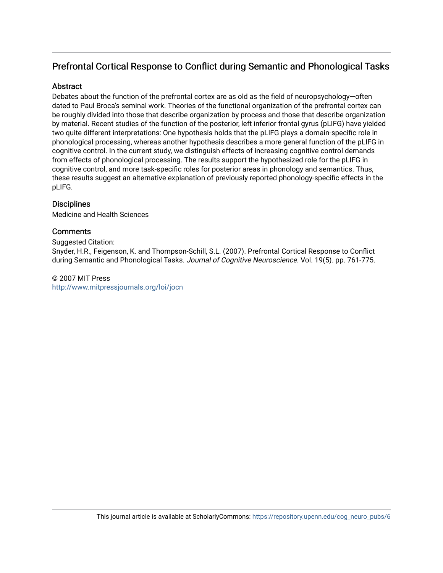## Prefrontal Cortical Response to Conflict during Semantic and Phonological Tasks

## **Abstract**

Debates about the function of the prefrontal cortex are as old as the field of neuropsychology—often dated to Paul Broca's seminal work. Theories of the functional organization of the prefrontal cortex can be roughly divided into those that describe organization by process and those that describe organization by material. Recent studies of the function of the posterior, left inferior frontal gyrus (pLIFG) have yielded two quite different interpretations: One hypothesis holds that the pLIFG plays a domain-specific role in phonological processing, whereas another hypothesis describes a more general function of the pLIFG in cognitive control. In the current study, we distinguish effects of increasing cognitive control demands from effects of phonological processing. The results support the hypothesized role for the pLIFG in cognitive control, and more task-specific roles for posterior areas in phonology and semantics. Thus, these results suggest an alternative explanation of previously reported phonology-specific effects in the pLIFG.

## **Disciplines**

Medicine and Health Sciences

## **Comments**

Suggested Citation: Snyder, H.R., Feigenson, K. and Thompson-Schill, S.L. (2007). Prefrontal Cortical Response to Conflict during Semantic and Phonological Tasks. Journal of Cognitive Neuroscience. Vol. 19(5). pp. 761-775.

© 2007 MIT Press <http://www.mitpressjournals.org/loi/jocn>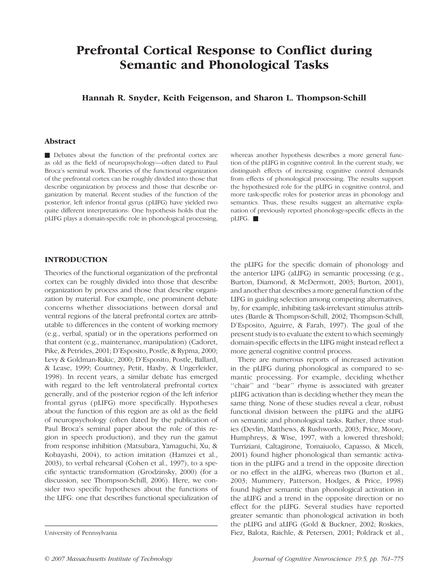## Prefrontal Cortical Response to Conflict during Semantic and Phonological Tasks

Hannah R. Snyder, Keith Feigenson, and Sharon L. Thompson-Schill

## Abstract

■ Debates about the function of the prefrontal cortex are as old as the field of neuropsychology—often dated to Paul Broca's seminal work. Theories of the functional organization of the prefrontal cortex can be roughly divided into those that describe organization by process and those that describe organization by material. Recent studies of the function of the posterior, left inferior frontal gyrus (pLIFG) have yielded two quite different interpretations: One hypothesis holds that the pLIFG plays a domain-specific role in phonological processing,

whereas another hypothesis describes a more general function of the pLIFG in cognitive control. In the current study, we distinguish effects of increasing cognitive control demands from effects of phonological processing. The results support the hypothesized role for the pLIFG in cognitive control, and more task-specific roles for posterior areas in phonology and semantics. Thus, these results suggest an alternative explanation of previously reported phonology-specific effects in the  $pLIFG.$ 

## INTRODUCTION

Theories of the functional organization of the prefrontal cortex can be roughly divided into those that describe organization by process and those that describe organization by material. For example, one prominent debate concerns whether dissociations between dorsal and ventral regions of the lateral prefrontal cortex are attributable to differences in the content of working memory (e.g., verbal, spatial) or in the operations performed on that content (e.g., maintenance, manipulation) (Cadoret, Pike, & Petrides, 2001; D'Esposito, Postle, & Rypma, 2000; Levy & Goldman-Rakic, 2000; D'Esposito, Postle, Ballard, & Lease, 1999; Courtney, Petit, Haxby, & Ungerleider, 1998). In recent years, a similar debate has emerged with regard to the left ventrolateral prefrontal cortex generally, and of the posterior region of the left inferior frontal gyrus (pLIFG) more specifically. Hypotheses about the function of this region are as old as the field of neuropsychology (often dated by the publication of Paul Broca's seminal paper about the role of this region in speech production), and they run the gamut from response inhibition (Matsubara, Yamaguchi, Xu, & Kobayashi, 2004), to action imitation (Hamzei et al., 2003), to verbal rehearsal (Cohen et al., 1997), to a specific syntactic transformation (Grodzinsky, 2000) (for a discussion, see Thompson-Schill, 2006). Here, we consider two specific hypotheses about the functions of the LIFG: one that describes functional specialization of

the pLIFG for the specific domain of phonology and the anterior LIFG (aLIFG) in semantic processing (e.g., Burton, Diamond, & McDermott, 2003; Burton, 2001), and another that describes a more general function of the LIFG in guiding selection among competing alternatives, by, for example, inhibiting task-irrelevant stimulus attributes (Barde & Thompson-Schill, 2002; Thompson-Schill, D'Esposito, Aguirre, & Farah, 1997). The goal of the present study is to evaluate the extent to which seemingly domain-specific effects in the LIFG might instead reflect a more general cognitive control process.

There are numerous reports of increased activation in the pLIFG during phonological as compared to semantic processing. For example, deciding whether "chair" and "bear" rhyme is associated with greater pLIFG activation than is deciding whether they mean the same thing. None of these studies reveal a clear, robust functional division between the pLIFG and the aLIFG on semantic and phonological tasks. Rather, three studies (Devlin, Matthews, & Rushworth, 2003; Price, Moore, Humphreys, & Wise, 1997, with a lowered threshold; Turriziani, Caltagirone, Tomaiuolo, Capasso, & Miceli, 2001) found higher phonological than semantic activation in the pLIFG and a trend in the opposite direction or no effect in the aLIFG, whereas two (Burton et al., 2003; Mummery, Patterson, Hodges, & Price, 1998) found higher semantic than phonological activation in the aLIFG and a trend in the opposite direction or no effect for the pLIFG. Several studies have reported greater semantic than phonological activation in both the pLIFG and aLIFG (Gold & Buckner, 2002; Roskies, University of Pennsylvania Fiez, Balota, Raichle, & Petersen, 2001; Poldrack et al.,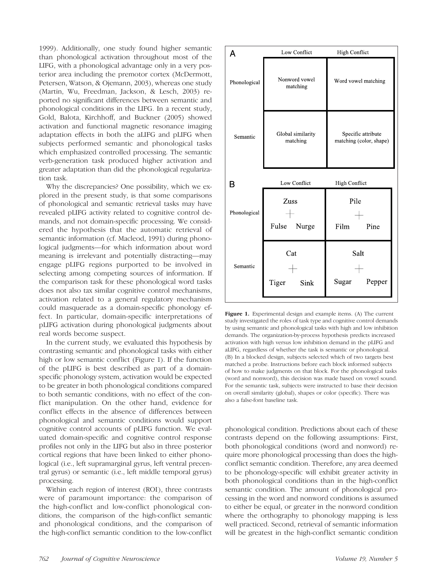1999). Additionally, one study found higher semantic than phonological activation throughout most of the LIFG, with a phonological advantage only in a very posterior area including the premotor cortex (McDermott, Petersen, Watson, & Ojemann, 2003), whereas one study (Martin, Wu, Freedman, Jackson, & Lesch, 2003) reported no significant differences between semantic and phonological conditions in the LIFG. In a recent study, Gold, Balota, Kirchhoff, and Buckner (2005) showed activation and functional magnetic resonance imaging adaptation effects in both the aLIFG and pLIFG when subjects performed semantic and phonological tasks which emphasized controlled processing. The semantic verb-generation task produced higher activation and greater adaptation than did the phonological regularization task.

Why the discrepancies? One possibility, which we explored in the present study, is that some comparisons of phonological and semantic retrieval tasks may have revealed pLIFG activity related to cognitive control demands, and not domain-specific processing. We considered the hypothesis that the automatic retrieval of semantic information (cf. Macleod, 1991) during phonological judgments—for which information about word meaning is irrelevant and potentially distracting—may engage pLIFG regions purported to be involved in selecting among competing sources of information. If the comparison task for these phonological word tasks does not also tax similar cognitive control mechanisms, activation related to a general regulatory mechanism could masquerade as a domain-specific phonology effect. In particular, domain-specific interpretations of pLIFG activation during phonological judgments about real words become suspect.

In the current study, we evaluated this hypothesis by contrasting semantic and phonological tasks with either high or low semantic conflict (Figure 1). If the function of the pLIFG is best described as part of a domainspecific phonology system, activation would be expected to be greater in both phonological conditions compared to both semantic conditions, with no effect of the conflict manipulation. On the other hand, evidence for conflict effects in the absence of differences between phonological and semantic conditions would support cognitive control accounts of pLIFG function. We evaluated domain-specific and cognitive control response profiles not only in the LIFG but also in three posterior cortical regions that have been linked to either phonological (i.e., left supramarginal gyrus, left ventral precentral gyrus) or semantic (i.e., left middle temporal gyrus) processing.

Within each region of interest (ROI), three contrasts were of paramount importance: the comparison of the high-conflict and low-conflict phonological conditions, the comparison of the high-conflict semantic and phonological conditions, and the comparison of the high-conflict semantic condition to the low-conflict



Figure 1. Experimental design and example items. (A) The current study investigated the roles of task type and cognitive control demands by using semantic and phonological tasks with high and low inhibition demands. The organization-by-process hypothesis predicts increased activation with high versus low inhibition demand in the pLIFG and aLIFG, regardless of whether the task is semantic or phonological. (B) In a blocked design, subjects selected which of two targets best matched a probe. Instructions before each block informed subjects of how to make judgments on that block. For the phonological tasks (word and nonword), this decision was made based on vowel sound. For the semantic task, subjects were instructed to base their decision on overall similarity (global), shapes or color (specific). There was also a false-font baseline task.

phonological condition. Predictions about each of these contrasts depend on the following assumptions: First, both phonological conditions (word and nonword) require more phonological processing than does the highconflict semantic condition. Therefore, any area deemed to be phonology-specific will exhibit greater activity in both phonological conditions than in the high-conflict semantic condition. The amount of phonological processing in the word and nonword conditions is assumed to either be equal, or greater in the nonword condition where the orthography to phonology mapping is less well practiced. Second, retrieval of semantic information will be greatest in the high-conflict semantic condition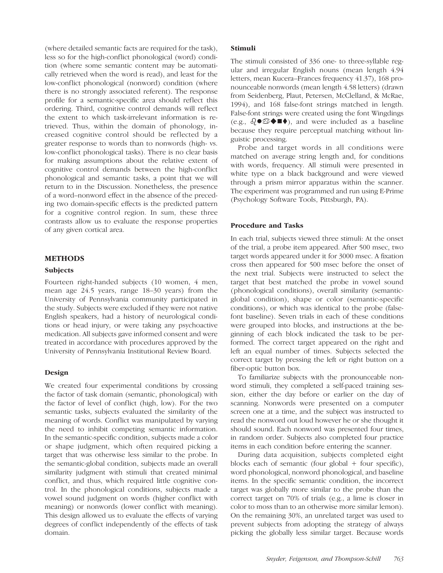(where detailed semantic facts are required for the task), less so for the high-conflict phonological (word) condition (where some semantic content may be automatically retrieved when the word is read), and least for the low-conflict phonological (nonword) condition (where there is no strongly associated referent). The response profile for a semantic-specific area should reflect this ordering. Third, cognitive control demands will reflect the extent to which task-irrelevant information is retrieved. Thus, within the domain of phonology, increased cognitive control should be reflected by a greater response to words than to nonwords (high- vs. low-conflict phonological tasks). There is no clear basis for making assumptions about the relative extent of cognitive control demands between the high-conflict phonological and semantic tasks, a point that we will return to in the Discussion. Nonetheless, the presence of a word–nonword effect in the absence of the preceding two domain-specific effects is the predicted pattern for a cognitive control region. In sum, these three contrasts allow us to evaluate the response properties of any given cortical area.

## METHODS

#### Subjects

Fourteen right-handed subjects (10 women, 4 men, mean age 24.5 years, range 18–30 years) from the University of Pennsylvania community participated in the study. Subjects were excluded if they were not native English speakers, had a history of neurological conditions or head injury, or were taking any psychoactive medication. All subjects gave informed consent and were treated in accordance with procedures approved by the University of Pennsylvania Institutional Review Board.

## Design

We created four experimental conditions by crossing the factor of task domain (semantic, phonological) with the factor of level of conflict (high, low). For the two semantic tasks, subjects evaluated the similarity of the meaning of words. Conflict was manipulated by varying the need to inhibit competing semantic information. In the semantic-specific condition, subjects made a color or shape judgment, which often required picking a target that was otherwise less similar to the probe. In the semantic-global condition, subjects made an overall similarity judgment with stimuli that created minimal conflict, and thus, which required little cognitive control. In the phonological conditions, subjects made a vowel sound judgment on words (higher conflict with meaning) or nonwords (lower conflict with meaning). This design allowed us to evaluate the effects of varying degrees of conflict independently of the effects of task domain.

## Stimuli

The stimuli consisted of 336 one- to three-syllable regular and irregular English nouns (mean length 4.94 letters, mean Kucera–Frances frequency 41.37), 168 pronounceable nonwords (mean length 4.58 letters) (drawn from Seidenberg, Plaut, Petersen, McClelland, & McRae, 1994), and 168 false-font strings matched in length. False-font strings were created using the font Wingdings (e.g., blaunt), and were included as a baseline because they require perceptual matching without linguistic processing.

Probe and target words in all conditions were matched on average string length and, for conditions with words, frequency. All stimuli were presented in white type on a black background and were viewed through a prism mirror apparatus within the scanner. The experiment was programmed and run using E-Prime (Psychology Software Tools, Pittsburgh, PA).

## Procedure and Tasks

In each trial, subjects viewed three stimuli: At the onset of the trial, a probe item appeared. After 500 msec, two target words appeared under it for 3000 msec. A fixation cross then appeared for 500 msec before the onset of the next trial. Subjects were instructed to select the target that best matched the probe in vowel sound (phonological conditions), overall similarity (semanticglobal condition), shape or color (semantic-specific conditions), or which was identical to the probe (falsefont baseline). Seven trials in each of these conditions were grouped into blocks, and instructions at the beginning of each block indicated the task to be performed. The correct target appeared on the right and left an equal number of times. Subjects selected the correct target by pressing the left or right button on a fiber-optic button box.

To familiarize subjects with the pronounceable nonword stimuli, they completed a self-paced training session, either the day before or earlier on the day of scanning. Nonwords were presented on a computer screen one at a time, and the subject was instructed to read the nonword out loud however he or she thought it should sound. Each nonword was presented four times, in random order. Subjects also completed four practice items in each condition before entering the scanner.

During data acquisition, subjects completed eight blocks each of semantic (four global  $+$  four specific), word phonological, nonword phonological, and baseline items. In the specific semantic condition, the incorrect target was globally more similar to the probe than the correct target on 70% of trials (e.g., a lime is closer in color to moss than to an otherwise more similar lemon). On the remaining 30%, an unrelated target was used to prevent subjects from adopting the strategy of always picking the globally less similar target. Because words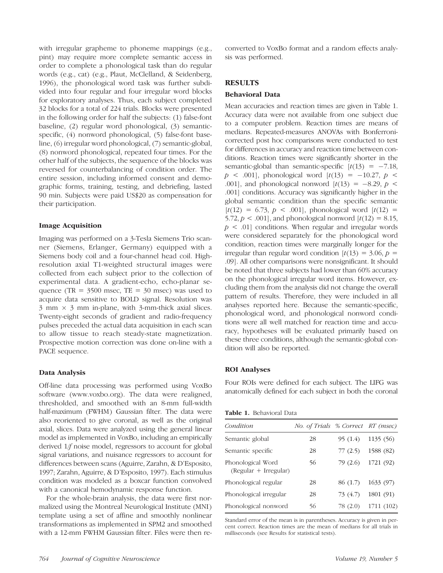with irregular grapheme to phoneme mappings (e.g., pint) may require more complete semantic access in order to complete a phonological task than do regular words (e.g., cat) (e.g., Plaut, McClelland, & Seidenberg, 1996), the phonological word task was further subdivided into four regular and four irregular word blocks for exploratory analyses. Thus, each subject completed 32 blocks for a total of 224 trials. Blocks were presented in the following order for half the subjects: (1) false-font baseline, (2) regular word phonological, (3) semanticspecific, (4) nonword phonological, (5) false-font baseline, (6) irregular word phonological, (7) semantic-global, (8) nonword phonological, repeated four times. For the other half of the subjects, the sequence of the blocks was reversed for counterbalancing of condition order. The entire session, including informed consent and demographic forms, training, testing, and debriefing, lasted 90 min. Subjects were paid US\$20 as compensation for their participation.

## Image Acquisition

Imaging was performed on a 3-Tesla Siemens Trio scanner (Siemens, Erlanger, Germany) equipped with a Siemens body coil and a four-channel head coil. Highresolution axial T1-weighted structural images were collected from each subject prior to the collection of experimental data. A gradient-echo, echo-planar sequence (TR =  $3500$  msec, TE =  $30$  msec) was used to acquire data sensitive to BOLD signal. Resolution was  $3 \text{ mm} \times 3 \text{ mm}$  in-plane, with  $3$ -mm-thick axial slices. Twenty-eight seconds of gradient and radio-frequency pulses preceded the actual data acquisition in each scan to allow tissue to reach steady-state magnetization. Prospective motion correction was done on-line with a PACE sequence.

## Data Analysis

Off-line data processing was performed using VoxBo software (www.voxbo.org). The data were realigned, thresholded, and smoothed with an 8-mm full-width half-maximum (FWHM) Gaussian filter. The data were also reoriented to give coronal, as well as the original axial, slices. Data were analyzed using the general linear model as implemented in VoxBo, including an empirically derived 1/f noise model, regressors to account for global signal variations, and nuisance regressors to account for differences between scans (Aguirre, Zarahn, & D'Esposito, 1997; Zarahn, Aguirre, & D'Esposito, 1997). Each stimulus condition was modeled as a boxcar function convolved with a canonical hemodynamic response function.

For the whole-brain analysis, the data were first normalized using the Montreal Neurological Institute (MNI) template using a set of affine and smoothly nonlinear transformations as implemented in SPM2 and smoothed with a 12-mm FWHM Gaussian filter. Files were then reconverted to VoxBo format and a random effects analysis was performed.

## **RESULTS**

## Behavioral Data

Mean accuracies and reaction times are given in Table 1. Accuracy data were not available from one subject due to a computer problem. Reaction times are means of medians. Repeated-measures ANOVAs with Bonferronicorrected post hoc comparisons were conducted to test for differences in accuracy and reaction time between conditions. Reaction times were significantly shorter in the semantic-global than semantic-specific  $[t(13) = -7.18]$ ,  $p \, < \, 0.001$ , phonological word  $[t(13) = -10.27, p \, <$ .001], and phonological nonword  $[t(13) = -8.29, p <$ .001] conditions. Accuracy was significantly higher in the global semantic condition than the specific semantic  $[t(12) = 6.73, p < .001]$ , phonological word  $[t(12) =$ 5.72,  $p < .001$ ], and phonological nonword  $[t(12) = 8.15,$  $p < .01$ ] conditions. When regular and irregular words were considered separately for the phonological word condition, reaction times were marginally longer for the irregular than regular word condition  $[t(13) = 3.06, p =$ .09]. All other comparisons were nonsignificant. It should be noted that three subjects had lower than 60% accuracy on the phonological irregular word items. However, excluding them from the analysis did not change the overall pattern of results. Therefore, they were included in all analyses reported here. Because the semantic-specific, phonological word, and phonological nonword conditions were all well matched for reaction time and accuracy, hypotheses will be evaluated primarily based on these three conditions, although the semantic-global condition will also be reported.

## ROI Analyses

Four ROIs were defined for each subject. The LIFG was anatomically defined for each subject in both the coronal

| <b>Table 1.</b> Behavioral Data |
|---------------------------------|
|---------------------------------|

| 28 | 95(1.4)  | 1135 (56)                         |
|----|----------|-----------------------------------|
| 28 | 77(2.5)  | 1588 (82)                         |
| 56 | 79 (2.6) | 1721 (92)                         |
| 28 | 86 (1.7) | 1633 (97)                         |
| 28 | 73 (4.7) | 1801 (91)                         |
| 56 | 78 (2.0) | 1711 (102)                        |
|    |          | No. of Trials % Correct RT (msec) |

Standard error of the mean is in parentheses. Accuracy is given in percent correct. Reaction times are the mean of medians for all trials in milliseconds (see Results for statistical tests).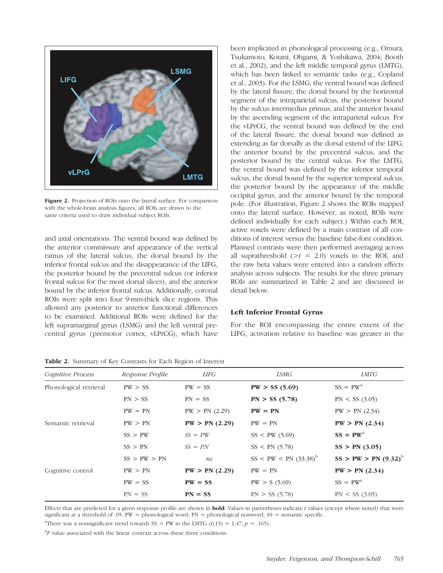

Figure 2. Projection of ROIs onto the lateral surface. For comparison with the whole-brain analysis figures, all ROIs are drawn to the same criteria used to draw individual subject ROIs.

and axial orientations. The ventral bound was defined by the anterior commissure and appearance of the vertical ramus of the lateral sulcus, the dorsal bound by the inferior frontal sulcus and the disappearance of the LIFG, the posterior bound by the precentral sulcus (or inferior frontal sulcus for the most dorsal slices), and the anterior bound by the inferior frontal sulcus. Additionally, coronal ROIs were split into four 9-mm-thick slice regions. This allowed any posterior to anterior functional differences to be examined. Additional ROIs were defined for the left supramarginal gyrus (LSMG) and the left ventral precentral gyrus (premotor cortex, vLPrCG), which have been implicated in phonological processing (e.g., Omura, Tsukamoto, Kotani, Ohgami, & Yoshikawa, 2004; Booth et al., 2002), and the left middle temporal gyrus (LMTG), which has been linked to semantic tasks (e.g., Copland et al., 2003). For the LSMG, the ventral bound was defined by the lateral fissure, the dorsal bound by the horizontal segment of the intraparietal sulcus, the posterior bound by the sulcus intermedius primus, and the anterior bound by the ascending segment of the intraparietal sulcus. For the vLPrCG, the ventral bound was defined by the end of the lateral fissure, the dorsal bound was defined as extending as far dorsally as the dorsal extend of the LIFG, the anterior bound by the precentral sulcus, and the posterior bound by the central sulcus. For the LMTG, the ventral bound was defined by the inferior temporal sulcus, the dorsal bound by the superior temporal sulcus, the posterior bound by the appearance of the middle occipital gyrus, and the anterior bound by the temporal pole. (For illustration, Figure 2 shows the ROIs mapped onto the lateral surface. However, as noted, ROIs were defined individually for each subject.) Within each ROI, active voxels were defined by a main contrast of all conditions of interest versus the baseline false-font condition. Planned contrasts were then performed averaging across all suprathreshold  $(>t = 2.0)$  voxels in the ROI, and the raw beta values were entered into a random effects analysis across subjects. The results for the three primary ROIs are summarized in Table 2 and are discussed in detail below.

#### Left Inferior Frontal Gyrus

For the ROI encompassing the entire extent of the LIFG, activation relative to baseline was greater in the

| Cognitive Process      | Response Profile   | <i>LIFG</i>    | <i>LSMG</i>                | <i>LMTG</i>               |
|------------------------|--------------------|----------------|----------------------------|---------------------------|
| Phonological retrieval | PW > SS            | $PW = SS$      | PW > SS (5.69)             | $SS = PW^a$               |
|                        | PN > SS            | $PN = SS$      | PN > SS(5.78)              | PN < SS (3.05)            |
|                        | $PW = PN$          | PW > PN (2.29) | $PW = PN$                  | PW > PN (2.34)            |
| Semantic retrieval     | PW > PN            | PW > PN (2.29) | $PW = PN$                  | PW > PN (2.34)            |
|                        | $SS$ > PW          | $SS = PW$      | SS < PW(5.69)              | $SS = PW^a$               |
|                        | SS > PN            | $SS = PN$      | SS < PN (5.78)             | SS > PN (3.05)            |
|                        | $SS$ > $PW$ > $PN$ | ns             | $SS < PW < PN (33.38)^{b}$ | $SS > PW > PN (9.32)^{b}$ |
| Cognitive control      | PW > PN            | PW > PN (2.29) | $PW = PN$                  | PW > PN (2.34)            |
|                        | $PW = SS$          | $PW = SS$      | PW > S(5.69)               | $SS = PW^a$               |
|                        | $PN = SS$          | $PN = SS$      | PN > SS(5.78)              | $PN < SS$ (3.05)          |
|                        |                    |                |                            |                           |

Table 2. Summary of Key Contrasts for Each Region of Interest

Effects that are predicted for a given response profile are shown in **bold**. Values in parentheses indicate  $t$  values (except where noted) that were significant at a threshold of .05. PW = phonological word; PN = phonological nonword;  $SS =$  semantic specific.

<sup>a</sup>There was a nonsignificant trend towards SS > PW in the LMTG  $(t(13) = 1.47, p = .165)$ .

 ${}^{b}F$  value associated with the linear contrast across these three conditions.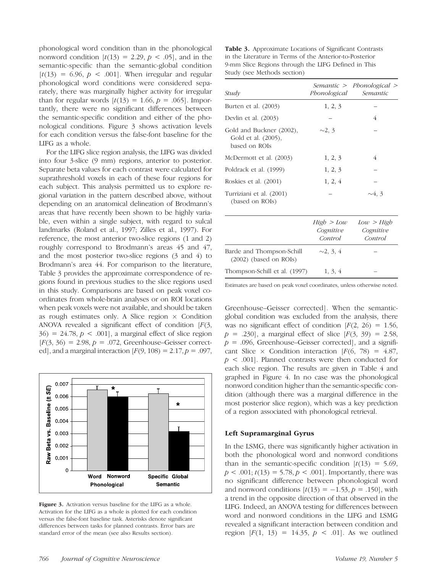phonological word condition than in the phonological nonword condition  $[t(13) = 2.29, p < .05]$ , and in the semantic-specific than the semantic-global condition  $[t(13) = 6.96, p < .001]$ . When irregular and regular phonological word conditions were considered separately, there was marginally higher activity for irregular than for regular words  $[t(13) = 1.66, p = .065]$ . Importantly, there were no significant differences between the semantic-specific condition and either of the phonological conditions. Figure 3 shows activation levels for each condition versus the false-font baseline for the LIFG as a whole.

For the LIFG slice region analysis, the LIFG was divided into four 3-slice (9 mm) regions, anterior to posterior. Separate beta values for each contrast were calculated for suprathreshold voxels in each of these four regions for each subject. This analysis permitted us to explore regional variation in the pattern described above, without depending on an anatomical delineation of Brodmann's areas that have recently been shown to be highly variable, even within a single subject, with regard to sulcal landmarks (Roland et al., 1997; Zilles et al., 1997). For reference, the most anterior two-slice regions (1 and 2) roughly correspond to Brodmann's areas 45 and 47, and the most posterior two-slice regions (3 and 4) to Brodmann's area 44. For comparison to the literature, Table 3 provides the approximate correspondence of regions found in previous studies to the slice regions used in this study. Comparisons are based on peak voxel coordinates from whole-brain analyses or on ROI locations when peak voxels were not available, and should be taken as rough estimates only. A Slice region  $\times$  Condition ANOVA revealed a significant effect of condition  $[F(3,$  $36$  = 24.78,  $p < .001$ ], a marginal effect of slice region  $[F(3, 36) = 2.98, p = .072,$  Greenhouse–Geisser corrected], and a marginal interaction  $[F(9, 108) = 2.17, p = .097,$ 



Figure 3. Activation versus baseline for the LIFG as a whole. Activation for the LIFG as a whole is plotted for each condition versus the false-font baseline task. Asterisks denote significant differences between tasks for planned contrasts. Error bars are standard error of the mean (see also Results section).

| <b>Table 3.</b> Approximate Locations of Significant Contrasts |
|----------------------------------------------------------------|
| in the Literature in Terms of the Anterior-to-Posterior        |
| 9-mm Slice Regions through the LIFG Defined in This            |
| Study (see Methods section)                                    |

| Study                                                            | Phonological                       | Semantic > Phonological ><br>Semantic |
|------------------------------------------------------------------|------------------------------------|---------------------------------------|
| Burten et al. (2003)                                             | 1, 2, 3                            |                                       |
| Devlin et al. (2003)                                             |                                    | 4                                     |
| Gold and Buckner (2002),<br>Gold et al. (2005),<br>based on ROIs | $\sim$ 2, 3                        |                                       |
| McDermott et al. (2003)                                          | 1, 2, 3                            | 4                                     |
| Poldrack et al. (1999)                                           | 1, 2, 3                            |                                       |
| Roskies et al. (2001)                                            | 1, 2, 4                            |                                       |
| Turriziani et al. (2001)<br>(based on ROIs)                      |                                    | $\sim$ 4. 3                           |
|                                                                  | High > Low<br>Cognitive<br>Control | Low > High<br>Cognitive<br>Control    |
| Barde and Thompson-Schill<br>$(2002)$ (based on ROIs)            | $\sim$ 2, 3, 4                     |                                       |
| Thompson-Schill et al. (1997)                                    | 1, 3, 4                            |                                       |

Estimates are based on peak voxel coordinates, unless otherwise noted.

Greenhouse–Geisser corrected]. When the semanticglobal condition was excluded from the analysis, there was no significant effect of condition  $[F(2, 26) = 1.56]$ ,  $p = .230$ , a marginal effect of slice  $[F(3, 39) = 2.58]$ ,  $p = .096$ , Greenhouse–Geisser corrected], and a significant Slice  $\times$  Condition interaction [F(6, 78) = 4.87,  $p < .001$ ]. Planned contrasts were then conducted for each slice region. The results are given in Table 4 and graphed in Figure 4. In no case was the phonological nonword condition higher than the semantic-specific condition (although there was a marginal difference in the most posterior slice region), which was a key prediction of a region associated with phonological retrieval.

#### Left Supramarginal Gyrus

In the LSMG, there was significantly higher activation in both the phonological word and nonword conditions than in the semantic-specific condition  $[t(13) = 5.69]$ ,  $p < .001$ ;  $t(13) = 5.78$ ,  $p < .001$ ]. Importantly, there was no significant difference between phonological word and nonword conditions  $[t(13) = -1.53, p = .150]$ , with a trend in the opposite direction of that observed in the LIFG. Indeed, an ANOVA testing for differences between word and nonword conditions in the LIFG and LSMG revealed a significant interaction between condition and region  $[F(1, 13) = 14.35, p < .01]$ . As we outlined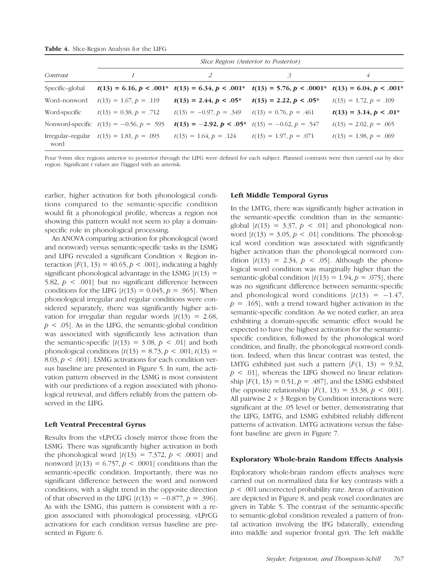**Table 4.** Slice-Region Analysis for the LIFG

|                 | Slice Region (Anterior to Posterior)       |                                                            |                                                        |                          |  |
|-----------------|--------------------------------------------|------------------------------------------------------------|--------------------------------------------------------|--------------------------|--|
| Contrast        |                                            | 2                                                          | $\mathcal{Z}$                                          | 4                        |  |
| Specific-global |                                            | $t(13) = 6.16, p < .001^*$ $t(13) = 6.34, p < .001^*$      | $t(13) = 5.76, p < .0001^*$ $t(13) = 6.04, p < .001^*$ |                          |  |
| Word-nonword    | $t(13) = 1.67, p = .119$                   | $t(13) = 2.44, p < .05^*$                                  | $t(13) = 2.22, p < .05^*$                              | $t(13) = 1.72, p = .109$ |  |
| Word-specific   | $t(13) = 0.38, p = .712$                   | $t(13) = -0.97, p = .349$                                  | $t(13) = 0.76, p = .461$                               | $t(13) = 3.14, p < .01*$ |  |
|                 | Nonword-specific $t(13) = -0.56, p = .593$ | $t(13) = -2.92$ , $p < .05^*$ $t(13) = -0.62$ , $p = .547$ |                                                        | $t(13) = 2.02, p = .065$ |  |
| word            | Irregular–regular $t(13) = 1.81, p = .093$ | $t(13) = 1.64, p = .124$                                   | $t(13) = 1.97, p = .071$                               | $t(13) = 1.98, p = .069$ |  |

Four 9-mm slice regions anterior to posterior through the LIFG were defined for each subject. Planned contrasts were then carried out by slice region. Significant t values are flagged with an asterisk.

earlier, higher activation for both phonological conditions compared to the semantic-specific condition would fit a phonological profile, whereas a region not showing this pattern would not seem to play a domainspecific role in phonological processing.

An ANOVA comparing activation for phonological (word and nonword) versus semantic-specific tasks in the LSMG and LIFG revealed a significant Condition  $\times$  Region interaction  $[F(1, 13) = 40.65, p < .001]$ , indicating a highly significant phonological advantage in the LSMG  $[t(13) =$ 5.82,  $p < .001$ ] but no significant difference between conditions for the LIFG  $[t(13) = 0.045, p = .965]$ . When phonological irregular and regular conditions were considered separately, there was significantly higher activation for irregular than regular words  $[t(13) = 2.68]$ ,  $p < .05$ ]. As in the LIFG, the semantic-global condition was associated with significantly less activation than the semantic-specific  $[t(13) = 3.08, p < .01]$  and both phonological conditions  $[t(13) = 8.73, p < .001; t(13) =$ 8.03,  $p < .001$ . LSMG activations for each condition versus baseline are presented in Figure 5. In sum, the activation pattern observed in the LSMG is most consistent with our predictions of a region associated with phonological retrieval, and differs reliably from the pattern observed in the LIFG.

#### Left Ventral Precentral Gyrus

Results from the vLPrCG closely mirror those from the LSMG. There was significantly higher activation in both the phonological word  $[t(13) = 7.372, p < .0001]$  and nonword  $[t(13) = 6.757, p < .0001]$  conditions than the semantic-specific condition. Importantly, there was no significant difference between the word and nonword conditions, with a slight trend in the opposite direction of that observed in the LIFG  $[t(13) = -0.877, p = .396]$ . As with the LSMG, this pattern is consistent with a region associated with phonological processing. vLPrCG activations for each condition versus baseline are presented in Figure 6.

## Left Middle Temporal Gyrus

In the LMTG, there was significantly higher activation in the semantic-specific condition than in the semanticglobal  $[t(13) = 3.37, p < .01]$  and phonological nonword  $[t(13) = 3.05, p < .01]$  conditions. The phonological word condition was associated with significantly higher activation than the phonological nonword condition  $[t(13) = 2.34, p < .05]$ . Although the phonological word condition was marginally higher than the semantic-global condition  $[t(13) = 1.94, p = .075]$ , there was no significant difference between semantic-specific and phonological word conditions  $[t(13) = -1.47]$ ,  $p = .165$ , with a trend toward higher activation in the semantic-specific condition. As we noted earlier, an area exhibiting a domain-specific semantic effect would be expected to have the highest activation for the semanticspecific condition, followed by the phonological word condition, and finally, the phonological nonword condition. Indeed, when this linear contrast was tested, the LMTG exhibited just such a pattern  $[F(1, 13) = 9.32]$ ,  $p < .01$ ], whereas the LIFG showed no linear relationship  $[F(1, 13) = 0.51, p = .487]$ , and the LSMG exhibited the opposite relationship  $[F(1, 13) = 33.38, p < .001]$ . All pairwise  $2 \times 3$  Region by Condition interactions were significant at the .05 level or better, demonstrating that the LIFG, LMTG, and LSMG exhibited reliably different patterns of activation. LMTG activations versus the falsefont baseline are given in Figure 7.

#### Exploratory Whole-brain Random Effects Analysis

Exploratory whole-brain random effects analyses were carried out on normalized data for key contrasts with a  $p < .001$  uncorrected probability rate. Areas of activation are depicted in Figure 8, and peak voxel coordinates are given in Table 5. The contrast of the semantic-specific to semantic-global condition revealed a pattern of frontal activation involving the IFG bilaterally, extending into middle and superior frontal gyri. The left middle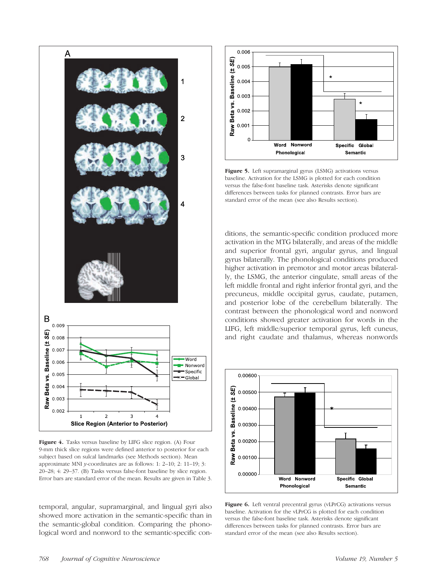

Figure 4. Tasks versus baseline by LIFG slice region. (A) Four 9-mm thick slice regions were defined anterior to posterior for each subject based on sulcal landmarks (see Methods section). Mean approximate MNI y-coordinates are as follows: 1: 2–10; 2: 11–19; 3: 20–28; 4: 29–37. (B) Tasks versus false-font baseline by slice region. Error bars are standard error of the mean. Results are given in Table 3.

temporal, angular, supramarginal, and lingual gyri also showed more activation in the semantic-specific than in the semantic-global condition. Comparing the phonological word and nonword to the semantic-specific con-



Figure 5. Left supramarginal gyrus (LSMG) activations versus baseline. Activation for the LSMG is plotted for each condition versus the false-font baseline task. Asterisks denote significant differences between tasks for planned contrasts. Error bars are standard error of the mean (see also Results section).

ditions, the semantic-specific condition produced more activation in the MTG bilaterally, and areas of the middle and superior frontal gyri, angular gyrus, and lingual gyrus bilaterally. The phonological conditions produced higher activation in premotor and motor areas bilaterally, the LSMG, the anterior cingulate, small areas of the left middle frontal and right inferior frontal gyri, and the precuneus, middle occipital gyrus, caudate, putamen, and posterior lobe of the cerebellum bilaterally. The contrast between the phonological word and nonword conditions showed greater activation for words in the LIFG, left middle/superior temporal gyrus, left cuneus, and right caudate and thalamus, whereas nonwords



Figure 6. Left ventral precentral gyrus (vLPrCG) activations versus baseline. Activation for the vLPrCG is plotted for each condition versus the false-font baseline task. Asterisks denote significant differences between tasks for planned contrasts. Error bars are standard error of the mean (see also Results section).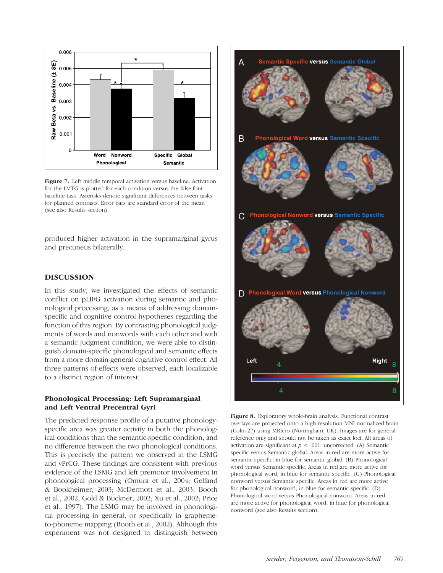

Figure 7. Left middle temporal activation versus baseline. Activation for the LMTG is plotted for each condition versus the false-font baseline task. Asterisks denote significant differences between tasks for planned contrasts. Error bars are standard error of the mean (see also Results section).

produced higher activation in the supramarginal gyrus and precuneus bilaterally.

## DISCUSSION

In this study, we investigated the effects of semantic conflict on pLIFG activation during semantic and phonological processing, as a means of addressing domainspecific and cognitive control hypotheses regarding the function of this region. By contrasting phonological judgments of words and nonwords with each other and with a semantic judgment condition, we were able to distinguish domain-specific phonological and semantic effects from a more domain-general cognitive control effect. All three patterns of effects were observed, each localizable to a distinct region of interest.

## Phonological Processing: Left Supramarginal and Left Ventral Precentral Gyri

The predicted response profile of a putative phonologyspecific area was greater activity in both the phonological conditions than the semantic-specific condition, and no difference between the two phonological conditions. This is precisely the pattern we observed in the LSMG and vPrCG. These findings are consistent with previous evidence of the LSMG and left premotor involvement in phonological processing (Omura et al., 2004; Gelfand & Bookheimer, 2003; McDermott et al., 2003; Booth et al., 2002; Gold & Buckner, 2002; Xu et al., 2002; Price et al., 1997). The LSMG may be involved in phonological processing in general, or specifically in graphemeto-phoneme mapping (Booth et al., 2002). Although this experiment was not designed to distinguish between



Figure 8. Exploratory whole-brain analysis. Functional contrast overlays are projected onto a high-resolution MNI normalized brain (Colin-27) using MRIcro (Nottingham, UK). Images are for general reference only and should not be taken as exact loci. All areas of activation are significant at  $p < .001$ , uncorrected. (A) Semantic specific versus Semantic global. Areas in red are more active for semantic specific, in blue for semantic global. (B) Phonological word versus Semantic specific. Areas in red are more active for phonological word, in blue for semantic specific. (C) Phonological nonword versus Semantic specific. Areas in red are more active for phonological nonword, in blue for semantic specific. (D) Phonological word versus Phonological nonword. Areas in red are more active for phonological word, in blue for phonological nonword (see also Results section).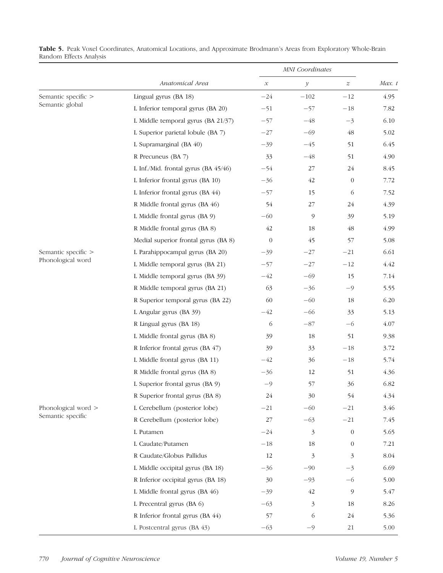|                                        |                                      | MNI Coordinates                                                                                                                                                                                                                                                                                                                                                                                                                                           |               |                  |        |
|----------------------------------------|--------------------------------------|-----------------------------------------------------------------------------------------------------------------------------------------------------------------------------------------------------------------------------------------------------------------------------------------------------------------------------------------------------------------------------------------------------------------------------------------------------------|---------------|------------------|--------|
|                                        | Anatomical Area                      | $\mathcal{X}% _{0}=\mathcal{X}_{0}=\mathcal{X}_{0}=\mathcal{X}_{1}=\mathcal{X}_{1}=\mathcal{X}_{2}=\mathcal{X}_{1}=\mathcal{X}_{2}=\mathcal{X}_{3}=\mathcal{X}_{4}=\mathcal{X}_{5}=\mathcal{X}_{6}=\mathcal{X}_{7}=\mathcal{X}_{8}=\mathcal{X}_{9}=\mathcal{X}_{1}=\mathcal{X}_{1}=\mathcal{X}_{1}=\mathcal{X}_{1}=\mathcal{X}_{1}=\mathcal{X}_{2}=\mathcal{X}_{3}=\mathcal{X}_{4}=\mathcal{X}_{5}=\mathcal{X}_{6}=\mathcal{X}_{7}=\mathcal{X}_{8}=\math$ | $\mathcal{Y}$ | $\boldsymbol{z}$ | Max. t |
| Semantic specific ><br>Semantic global | Lingual gyrus (BA 18)                | $-24$                                                                                                                                                                                                                                                                                                                                                                                                                                                     | $-102\,$      | $-12$            | 4.95   |
|                                        | L Inferior temporal gyrus (BA 20)    | $-51$                                                                                                                                                                                                                                                                                                                                                                                                                                                     | $-57$         | $-18$            | 7.82   |
|                                        | L Middle temporal gyrus (BA 21/37)   | $-57$                                                                                                                                                                                                                                                                                                                                                                                                                                                     | $-48$         | $-3$             | 6.10   |
|                                        | L Superior parietal lobule (BA 7)    | $-27$                                                                                                                                                                                                                                                                                                                                                                                                                                                     | $-69$         | 48               | 5.02   |
|                                        | L Supramarginal (BA 40)              | $-39$                                                                                                                                                                                                                                                                                                                                                                                                                                                     | $-45$         | 51               | 6.45   |
|                                        | R Precuneus (BA 7)                   | 33                                                                                                                                                                                                                                                                                                                                                                                                                                                        | $-48$         | 51               | 4.90   |
|                                        | L Inf./Mid. frontal gyrus (BA 45/46) | $-54$                                                                                                                                                                                                                                                                                                                                                                                                                                                     | 27            | 24               | 8.45   |
|                                        | L Inferior frontal gyrus (BA 10)     | $-36$                                                                                                                                                                                                                                                                                                                                                                                                                                                     | 42            | $\overline{0}$   | 7.72   |
|                                        | L Inferior frontal gyrus (BA 44)     | $-57$                                                                                                                                                                                                                                                                                                                                                                                                                                                     | 15            | 6                | 7.52   |
|                                        | R Middle frontal gyrus (BA 46)       | 54                                                                                                                                                                                                                                                                                                                                                                                                                                                        | 27            | 24               | 4.39   |
|                                        | L Middle frontal gyrus (BA 9)        | $-60$                                                                                                                                                                                                                                                                                                                                                                                                                                                     | 9             | 39               | 5.19   |
|                                        | R Middle frontal gyrus (BA 8)        | 42                                                                                                                                                                                                                                                                                                                                                                                                                                                        | 18            | 48               | 4.99   |
|                                        | Medial superior frontal gyrus (BA 8) | $\overline{0}$                                                                                                                                                                                                                                                                                                                                                                                                                                            | 45            | 57               | 5.08   |
| Semantic specific >                    | L Parahippocampal gyrus (BA 20)      | $-39$                                                                                                                                                                                                                                                                                                                                                                                                                                                     | $-27$         | $-21$            | 6.61   |
| Phonological word                      | L Middle temporal gyrus (BA 21)      | $-57$                                                                                                                                                                                                                                                                                                                                                                                                                                                     | $-27$         | $-12$            | 4.42   |
|                                        | L Middle temporal gyrus (BA 39)      | $-42$                                                                                                                                                                                                                                                                                                                                                                                                                                                     | $-69$         | 15               | 7.14   |
|                                        | R Middle temporal gyrus (BA 21)      | 63                                                                                                                                                                                                                                                                                                                                                                                                                                                        | $-36$         | $-9$             | 5.55   |
|                                        | R Superior temporal gyrus (BA 22)    | 60                                                                                                                                                                                                                                                                                                                                                                                                                                                        | $-60$         | 18               | 6.20   |
|                                        | L Angular gyrus (BA 39)              | $-42$                                                                                                                                                                                                                                                                                                                                                                                                                                                     | $-66$         | 33               | 5.13   |
|                                        | R Lingual gyrus (BA 18)              | 6                                                                                                                                                                                                                                                                                                                                                                                                                                                         | $-87$         | $-6$             | 4.07   |
|                                        | L Middle frontal gyrus (BA 8)        | 39                                                                                                                                                                                                                                                                                                                                                                                                                                                        | 18            | 51               | 9.38   |
|                                        | R Inferior frontal gyrus (BA 47)     | 39                                                                                                                                                                                                                                                                                                                                                                                                                                                        | 33            | $-18$            | 3.72   |
|                                        | L Middle frontal gyrus (BA 11)       | $-42$                                                                                                                                                                                                                                                                                                                                                                                                                                                     | 36            | $-18$            | 5.74   |
|                                        | R Middle frontal gyrus (BA 8)        | $-36$                                                                                                                                                                                                                                                                                                                                                                                                                                                     | 12            | 51               | 4.36   |
|                                        | L Superior frontal gyrus (BA 9)      | $-9$                                                                                                                                                                                                                                                                                                                                                                                                                                                      | 57            | 36               | 6.82   |
|                                        | R Superior frontal gyrus (BA 8)      | 24                                                                                                                                                                                                                                                                                                                                                                                                                                                        | 30            | 54               | 4.34   |
| Phonological word >                    | L Cerebellum (posterior lobe)        | $-21$                                                                                                                                                                                                                                                                                                                                                                                                                                                     | $-60$         | $-21$            | 3.46   |
| Semantic specific                      | R Cerebellum (posterior lobe)        | 27                                                                                                                                                                                                                                                                                                                                                                                                                                                        | $-63$         | $-21$            | 7.45   |
|                                        | L Putamen                            | $-24$                                                                                                                                                                                                                                                                                                                                                                                                                                                     | 3             | $\boldsymbol{0}$ | 5.65   |
|                                        | L Caudate/Putamen                    | $-18\,$                                                                                                                                                                                                                                                                                                                                                                                                                                                   | 18            | $\overline{0}$   | 7.21   |
|                                        | R Caudate/Globus Pallidus            | $12\,$                                                                                                                                                                                                                                                                                                                                                                                                                                                    | 3             | 3                | 8.04   |
|                                        | L Middle occipital gyrus (BA 18)     | $-36$                                                                                                                                                                                                                                                                                                                                                                                                                                                     | $-90$         | $-3$             | 6.69   |
|                                        | R Inferior occipital gyrus (BA 18)   | 30                                                                                                                                                                                                                                                                                                                                                                                                                                                        | $-93$         | $-6$             | 5.00   |
|                                        | L Middle frontal gyrus (BA 46)       | $-39$                                                                                                                                                                                                                                                                                                                                                                                                                                                     | 42            | $\mathfrak{g}$   | 5.47   |
|                                        | L Precentral gyrus (BA 6)            | $-63$                                                                                                                                                                                                                                                                                                                                                                                                                                                     | 3             | 18               | 8.26   |
|                                        | R Inferior frontal gyrus (BA 44)     | 57                                                                                                                                                                                                                                                                                                                                                                                                                                                        | 6             | 24               | 5.36   |
|                                        | L Postcentral gyrus (BA 43)          | $-63$                                                                                                                                                                                                                                                                                                                                                                                                                                                     | $-9$          | 21               | 5.00   |

Table 5. Peak Voxel Coordinates, Anatomical Locations, and Approximate Brodmann's Areas from Exploratory Whole-Brain Random Effects Analysis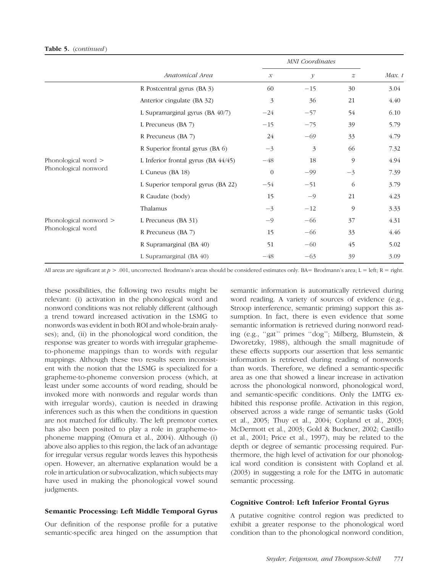#### Table 5. (continued)

|                                             |                                     | <b>MNI</b> Coordinates                                                                                                                                                                                                                                                                                                                                                                                                                                    |               |                  |        |
|---------------------------------------------|-------------------------------------|-----------------------------------------------------------------------------------------------------------------------------------------------------------------------------------------------------------------------------------------------------------------------------------------------------------------------------------------------------------------------------------------------------------------------------------------------------------|---------------|------------------|--------|
|                                             | Anatomical Area                     | $\mathcal{X}% _{0}=\mathcal{X}_{0}=\mathcal{X}_{0}=\mathcal{X}_{1}=\mathcal{X}_{1}=\mathcal{X}_{2}=\mathcal{X}_{1}=\mathcal{X}_{2}=\mathcal{X}_{3}=\mathcal{X}_{4}=\mathcal{X}_{5}=\mathcal{X}_{6}=\mathcal{X}_{7}=\mathcal{X}_{8}=\mathcal{X}_{9}=\mathcal{X}_{1}=\mathcal{X}_{1}=\mathcal{X}_{1}=\mathcal{X}_{1}=\mathcal{X}_{1}=\mathcal{X}_{2}=\mathcal{X}_{3}=\mathcal{X}_{4}=\mathcal{X}_{5}=\mathcal{X}_{6}=\mathcal{X}_{7}=\mathcal{X}_{8}=\math$ | $\mathcal{Y}$ | $\boldsymbol{z}$ | Max. t |
|                                             | R Postcentral gyrus (BA 3)          | 60                                                                                                                                                                                                                                                                                                                                                                                                                                                        | $-15$         | 30               | 3.04   |
|                                             | Anterior cingulate (BA 32)          | 3                                                                                                                                                                                                                                                                                                                                                                                                                                                         | 36            | 21               | 4.40   |
|                                             | L Supramarginal gyrus (BA 40/7)     | $-24$                                                                                                                                                                                                                                                                                                                                                                                                                                                     | $-57$         | 54               | 6.10   |
|                                             | L Precuneus (BA 7)                  | $-15$                                                                                                                                                                                                                                                                                                                                                                                                                                                     | $-75$         | 39               | 5.79   |
|                                             | R Precuneus (BA 7)                  | 24                                                                                                                                                                                                                                                                                                                                                                                                                                                        | $-69$         | 33               | 4.79   |
|                                             | R Superior frontal gyrus (BA 6)     | $-3$                                                                                                                                                                                                                                                                                                                                                                                                                                                      | 3             | 66               | 7.32   |
| Phonological word >                         | L Inferior frontal gyrus (BA 44/45) | $-48$                                                                                                                                                                                                                                                                                                                                                                                                                                                     | 18            | 9                | 4.94   |
| Phonological nonword                        | L Cuneus (BA 18)                    | $\overline{0}$                                                                                                                                                                                                                                                                                                                                                                                                                                            | $-99$         | $-3$             | 7.39   |
|                                             | L Superior temporal gyrus (BA 22)   | $-54$                                                                                                                                                                                                                                                                                                                                                                                                                                                     | $-51$         | 6                | 3.79   |
|                                             | R Caudate (body)                    | 15                                                                                                                                                                                                                                                                                                                                                                                                                                                        | $-9$          | 21               | 4.23   |
|                                             | Thalamus                            | $-3$                                                                                                                                                                                                                                                                                                                                                                                                                                                      | $-12$         | 9                | 3.33   |
| Phonological nonword ><br>Phonological word | L Precuneus (BA 31)                 | -9                                                                                                                                                                                                                                                                                                                                                                                                                                                        | $-66$         | 37               | 4.31   |
|                                             | R Precuneus (BA 7)                  | 15                                                                                                                                                                                                                                                                                                                                                                                                                                                        | $-66$         | 33               | 4.46   |
|                                             | R Supramarginal (BA 40)             | 51                                                                                                                                                                                                                                                                                                                                                                                                                                                        | $-60$         | 45               | 5.02   |
|                                             | L Supramarginal (BA 40)             | $-48$                                                                                                                                                                                                                                                                                                                                                                                                                                                     | $-63$         | 39               | 3.09   |

All areas are significant at  $p > .001$ , uncorrected. Brodmann's areas should be considered estimates only. BA= Brodmann's area; L = left; R = right.

these possibilities, the following two results might be relevant: (i) activation in the phonological word and nonword conditions was not reliably different (although a trend toward increased activation in the LSMG to nonwords was evident in both ROI and whole-brain analyses); and, (ii) in the phonological word condition, the response was greater to words with irregular graphemeto-phoneme mappings than to words with regular mappings. Although these two results seem inconsistent with the notion that the LSMG is specialized for a grapheme-to-phoneme conversion process (which, at least under some accounts of word reading, should be invoked more with nonwords and regular words than with irregular words), caution is needed in drawing inferences such as this when the conditions in question are not matched for difficulty. The left premotor cortex has also been posited to play a role in grapheme-tophoneme mapping (Omura et al., 2004). Although (i) above also applies to this region, the lack of an advantage for irregular versus regular words leaves this hypothesis open. However, an alternative explanation would be a role in articulation or subvocalization, which subjects may have used in making the phonological vowel sound judgments.

#### Semantic Processing: Left Middle Temporal Gyrus

Our definition of the response profile for a putative semantic-specific area hinged on the assumption that semantic information is automatically retrieved during word reading. A variety of sources of evidence (e.g., Stroop interference, semantic priming) support this assumption. In fact, there is even evidence that some semantic information is retrieved during nonword reading (e.g., ''gat'' primes ''dog''; Milberg, Blumstein, & Dworetzky, 1988), although the small magnitude of these effects supports our assertion that less semantic information is retrieved during reading of nonwords than words. Therefore, we defined a semantic-specific area as one that showed a linear increase in activation across the phonological nonword, phonological word, and semantic-specific conditions. Only the LMTG exhibited this response profile. Activation in this region, observed across a wide range of semantic tasks (Gold et al., 2005; Thuy et al., 2004; Copland et al., 2003; McDermott et al., 2003; Gold & Buckner, 2002; Castillo et al., 2001; Price et al., 1997), may be related to the depth or degree of semantic processing required. Furthermore, the high level of activation for our phonological word condition is consistent with Copland et al. (2003) in suggesting a role for the LMTG in automatic semantic processing.

#### Cognitive Control: Left Inferior Frontal Gyrus

A putative cognitive control region was predicted to exhibit a greater response to the phonological word condition than to the phonological nonword condition,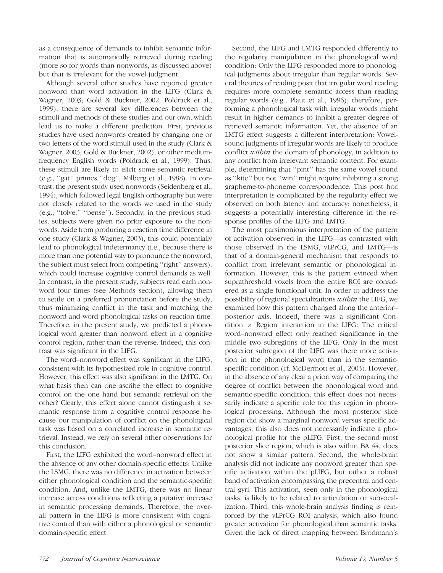as a consequence of demands to inhibit semantic information that is automatically retrieved during reading (more so for words than nonwords, as discussed above) but that is irrelevant for the vowel judgment.

Although several other studies have reported greater nonword than word activation in the LIFG (Clark & Wagner, 2003; Gold & Buckner, 2002; Poldrack et al., 1999), there are several key differences between the stimuli and methods of these studies and our own, which lead us to make a different prediction. First, previous studies have used nonwords created by changing one or two letters of the word stimuli used in the study (Clark & Wagner, 2003; Gold & Buckner, 2002), or other mediumfrequency English words (Poldrack et al., 1999). Thus, these stimuli are likely to elicit some semantic retrieval (e.g., ''gat'' primes ''dog''; Milberg et al., 1988). In contrast, the present study used nonwords (Seidenberg et al., 1994), which followed legal English orthography but were not closely related to the words we used in the study (e.g., ''tolve,'' ''bense''). Secondly, in the previous studies, subjects were given no prior exposure to the nonwords. Aside from producing a reaction time difference in one study (Clark & Wagner, 2003), this could potentially lead to phonological indetermancy (i.e., because there is more than one potential way to pronounce the nonword, the subject must select from competing ''right'' answers), which could increase cognitive control demands as well. In contrast, in the present study, subjects read each nonword four times (see Methods section), allowing them to settle on a preferred pronunciation before the study, thus minimizing conflict in the task and matching the nonword and word phonological tasks on reaction time. Therefore, in the present study, we predicted a phonological word greater than nonword effect in a cognitive control region, rather than the reverse. Indeed, this contrast was significant in the LIFG.

The word–nonword effect was significant in the LIFG, consistent with its hypothesized role in cognitive control. However, this effect was also significant in the LMTG. On what basis then can one ascribe the effect to cognitive control on the one hand but semantic retrieval on the other? Clearly, this effect alone cannot distinguish a semantic response from a cognitive control response because our manipulation of conflict on the phonological task was based on a correlated increase in semantic retrieval. Instead, we rely on several other observations for this conclusion.

First, the LIFG exhibited the word–nonword effect in the absence of any other domain-specific effects: Unlike the LSMG, there was no difference in activation between either phonological condition and the semantic-specific condition. And, unlike the LMTG, there was no linear increase across conditions reflecting a putative increase in semantic processing demands. Therefore, the overall pattern in the LIFG is more consistent with cognitive control than with either a phonological or semantic domain-specific effect.

Second, the LIFG and LMTG responded differently to the regularity manipulation in the phonological word condition: Only the LIFG responded more to phonological judgments about irregular than regular words. Several theories of reading posit that irregular word reading requires more complete semantic access than reading regular words (e.g., Plaut et al., 1996); therefore, performing a phonological task with irregular words might result in higher demands to inhibit a greater degree of retrieved semantic information. Yet, the absence of an LMTG effect suggests a different interpretation: Vowelsound judgments of irregular words are likely to produce conflict *within* the domain of phonology, in addition to any conflict from irrelevant semantic content. For example, determining that ''pint'' has the same vowel sound as ''kite'' but not ''win'' might require inhibiting a strong grapheme-to-phoneme correspondence. This post hoc interpretation is complicated by the regularity effect we observed on both latency and accuracy; nonetheless, it suggests a potentially interesting difference in the response profiles of the LIFG and LMTG.

The most parsimonious interpretation of the pattern of activation observed in the LIFG—as contrasted with those observed in the LSMG, vLPrCG, and LMTG—is that of a domain-general mechanism that responds to conflict from irrelevant semantic or phonological information. However, this is the pattern evinced when suprathreshold voxels from the entire ROI are considered as a single functional unit. In order to address the possibility of regional specializations within the LIFG, we examined how this pattern changed along the anterior– posterior axis. Indeed, there was a significant Condition  $\times$  Region interaction in the LIFG: The critical word–nonword effect only reached significance in the middle two subregions of the LIFG. Only in the most posterior subregion of the LIFG was there more activation in the phonological word than in the semanticspecific condition (cf. McDermott et al., 2003). However, in the absence of any clear a priori way of comparing the degree of conflict between the phonological word and semantic-specific condition, this effect does not necessarily indicate a specific role for this region in phonological processing. Although the most posterior slice region did show a marginal nonword versus specific advantages, this also does not necessarily indicate a phonological profile for the pLIFG. First, the second most posterior slice region, which is also within BA 44, does not show a similar pattern. Second, the whole-brain analysis did not indicate any nonword greater than specific activation within the pLIFG, but rather a robust band of activation encompassing the precentral and central gyri. This activation, seen only in the phonological tasks, is likely to be related to articulation or subvocalization. Third, this whole-brain analysis finding is reinforced by the vLPrCG ROI analysis, which also found greater activation for phonological than semantic tasks. Given the lack of direct mapping between Brodmann's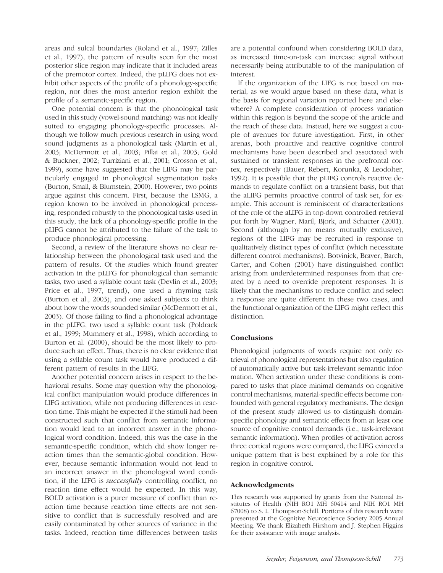areas and sulcal boundaries (Roland et al., 1997; Zilles et al., 1997), the pattern of results seen for the most posterior slice region may indicate that it included areas of the premotor cortex. Indeed, the pLIFG does not exhibit other aspects of the profile of a phonology-specific region, nor does the most anterior region exhibit the profile of a semantic-specific region.

One potential concern is that the phonological task used in this study (vowel-sound matching) was not ideally suited to engaging phonology-specific processes. Although we follow much previous research in using word sound judgments as a phonological task (Martin et al., 2003; McDermott et al., 2003; Pillai et al., 2003; Gold & Buckner, 2002; Turriziani et al., 2001; Crosson et al., 1999), some have suggested that the LIFG may be particularly engaged in phonological segmentation tasks (Burton, Small, & Blumstein, 2000). However, two points argue against this concern. First, because the LSMG, a region known to be involved in phonological processing, responded robustly to the phonological tasks used in this study, the lack of a phonology-specific profile in the pLIFG cannot be attributed to the failure of the task to produce phonological processing.

Second, a review of the literature shows no clear relationship between the phonological task used and the pattern of results. Of the studies which found greater activation in the pLIFG for phonological than semantic tasks, two used a syllable count task (Devlin et al., 2003; Price et al., 1997, trend), one used a rhyming task (Burton et al., 2003), and one asked subjects to think about how the words sounded similar (McDermott et al., 2003). Of those failing to find a phonological advantage in the pLIFG, two used a syllable count task (Poldrack et al., 1999; Mummery et al., 1998), which according to Burton et al. (2000), should be the most likely to produce such an effect. Thus, there is no clear evidence that using a syllable count task would have produced a different pattern of results in the LIFG.

Another potential concern arises in respect to the behavioral results. Some may question why the phonological conflict manipulation would produce differences in LIFG activation, while not producing differences in reaction time. This might be expected if the stimuli had been constructed such that conflict from semantic information would lead to an incorrect answer in the phonological word condition. Indeed, this was the case in the semantic-specific condition, which did show longer reaction times than the semantic-global condition. However, because semantic information would not lead to an incorrect answer in the phonological word condition, if the LIFG is successfully controlling conflict, no reaction time effect would be expected. In this way, BOLD activation is a purer measure of conflict than reaction time because reaction time effects are not sensitive to conflict that is successfully resolved and are easily contaminated by other sources of variance in the tasks. Indeed, reaction time differences between tasks

are a potential confound when considering BOLD data, as increased time-on-task can increase signal without necessarily being attributable to of the manipulation of interest.

If the organization of the LIFG is not based on material, as we would argue based on these data, what is the basis for regional variation reported here and elsewhere? A complete consideration of process variation within this region is beyond the scope of the article and the reach of these data. Instead, here we suggest a couple of avenues for future investigation. First, in other arenas, both proactive and reactive cognitive control mechanisms have been described and associated with sustained or transient responses in the prefrontal cortex, respectively (Bauer, Rebert, Korunka, & Leodolter, 1992). It is possible that the pLIFG controls reactive demands to regulate conflict on a transient basis, but that the aLIFG permits proactive control of task set, for example. This account is reminiscent of characterizations of the role of the aLIFG in top-down controlled retrieval put forth by Wagner, Maril, Bjork, and Schacter (2001). Second (although by no means mutually exclusive), regions of the LIFG may be recruited in response to qualitatively distinct types of conflict (which necessitate different control mechanisms). Botvinick, Braver, Barch, Carter, and Cohen (2001) have distinguished conflict arising from underdetermined responses from that created by a need to override prepotent responses. It is likely that the mechanisms to reduce conflict and select a response are quite different in these two cases, and the functional organization of the LIFG might reflect this distinction.

## **Conclusions**

Phonological judgments of words require not only retrieval of phonological representations but also regulation of automatically active but task-irrelevant semantic information. When activation under these conditions is compared to tasks that place minimal demands on cognitive control mechanisms, material-specific effects become confounded with general regulatory mechanisms. The design of the present study allowed us to distinguish domainspecific phonology and semantic effects from at least one source of cognitive control demands (i.e., task-irrelevant semantic information). When profiles of activation across three cortical regions were compared, the LIFG evinced a unique pattern that is best explained by a role for this region in cognitive control.

#### Acknowledgments

This research was supported by grants from the National Institutes of Health (NIH RO1 MH 60414 and NIH RO1 MH 67008) to S. L. Thompson-Schill. Portions of this research were presented at the Cognitive Neuroscience Society 2005 Annual Meeting. We thank Elizabeth Hirshorn and J. Stephen Higgins for their assistance with image analysis.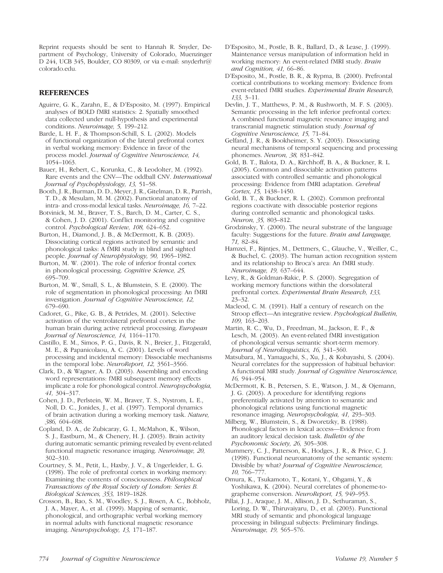Reprint requests should be sent to Hannah R. Snyder, Department of Psychology, University of Colorado, Muenzinger D 244, UCB 345, Boulder, CO 80309, or via e-mail: snyderhr@ colorado.edu.

## REFERENCES

- Aguirre, G. K., Zarahn, E., & D'Esposito, M. (1997). Empirical analyses of BOLD fMRI statistics: 2. Spatially smoothed data collected under null-hypothesis and experimental conditions. Neuroimage, 5, 199–212.
- Barde, L. H. F., & Thompson-Schill, S. L. (2002). Models of functional organization of the lateral prefrontal cortex in verbal working memory: Evidence in favor of the process model. Journal of Cognitive Neuroscience, 14, 1054–1063.
- Bauer, H., Rebert, C., Korunka, C., & Leodolter, M. (1992). Rare events and the CNV—The oddball CNV. International Journal of Psychophysiology, 13, 51–58.
- Booth, J. R., Burman, D. D., Meyer, J. R., Gitelman, D. R., Parrish, T. D., & Mesulam, M. M. (2002). Functional anatomy of intra- and cross-modal lexical tasks. Neuroimage, 16, 7–22.
- Botvinick, M. M., Braver, T. S., Barch, D. M., Carter, C. S., & Cohen, J. D. (2001). Conflict monitoring and cognitive control. Psychological Review, 108, 624–652.
- Burton, H., Diamond, J. B., & McDermott, K. B. (2003). Dissociating cortical regions activated by semantic and phonological tasks: A fMRI study in blind and sighted people. Journal of Neurophysiology, 90, 1965–1982.
- Burton, M. W. (2001). The role of inferior frontal cortex in phonological processing. Cognitive Science, 25, 695–709.
- Burton, M. W., Small, S. L., & Blumstein, S. E. (2000). The role of segmentation in phonological processing: An fMRI investigation. Journal of Cognitive Neuroscience, 12, 679–690.
- Cadoret, G., Pike, G. B., & Petrides, M. (2001). Selective activation of the ventrolateral prefrontal cortex in the human brain during active retrieval processing. European Journal of Neuroscience, 14, 1164–1170.
- Castillo, E. M., Simos, P. G., Davis, R. N., Breier, J., Fitzgerald, M. E., & Papanicolaou, A. C. (2001). Levels of word processing and incidental memory: Dissociable mechanisms in the temporal lobe. NeuroReport, 12, 3561–3566.
- Clark, D., & Wagner, A. D. (2003). Assembling and encoding word representations: fMRI subsequent memory effects implicate a role for phonological control. Neuropsychologia, 41, 304–317.
- Cohen, J. D., Perlstein, W. M., Braver, T. S., Nystrom, L. E., Noll, D. C., Jonides, J., et al. (1997). Temporal dynamics of brain activation during a working memory task. Nature, 386, 604–608.
- Copland, D. A., de Zubicaray, G. I., McMahon, K., Wilson, S. J., Eastburn, M., & Chenery, H. J. (2003). Brain activity during automatic semantic priming revealed by event-related functional magnetic resonance imaging. Neuroimage, 20, 302–310.
- Courtney, S. M., Petit, L., Haxby, J. V., & Ungerleider, L. G. (1998). The role of prefrontal cortex in working memory: Examining the contents of consciousness. Philosophical Transactions of the Royal Society of London: Series B. Biological Sciences, 353, 1819–1828.
- Crosson, B., Rao, S. M., Woodley, S. J., Rosen, A. C., Bobholz, J. A., Mayer, A., et al. (1999). Mapping of semantic, phonological, and orthographic verbal working memory in normal adults with functional magnetic resonance imaging. Neuropsychology, 13, 171–187.
- D'Esposito, M., Postle, B. R., Ballard, D., & Lease, J. (1999). Maintenance versus manipulation of information held in working memory: An event-related fMRI study. Brain and Cognition, 41, 66–86.
- D'Esposito, M., Postle, B. R., & Rypma, B. (2000). Prefrontal cortical contributions to working memory: Evidence from event-related fMRI studies. Experimental Brain Research, 133, 3–11.
- Devlin, J. T., Matthews, P. M., & Rushworth, M. F. S. (2003). Semantic processing in the left inferior prefrontal cortex: A combined functional magnetic resonance imaging and transcranial magnetic stimulation study. Journal of Cognitive Neuroscience, 15, 71–84.
- Gelfand, J. R., & Bookheimer, S. Y. (2003). Dissociating neural mechanisms of temporal sequencing and processing phonemes. Neuron, 38, 831–842.
- Gold, B. T., Balota, D. A., Kirchhoff, B. A., & Buckner, R. L. (2005). Common and dissociable activation patterns associated with controlled semantic and phonological processing: Evidence from fMRI adaptation. Cerebral Cortex, 15, 1438–1450.
- Gold, B. T., & Buckner, R. L. (2002). Common prefrontal regions coactivate with dissociable posterior regions during controlled semantic and phonological tasks. Neuron, 35, 803–812.
- Grodzinsky, Y. (2000). The neural substrate of the language faculty: Suggestions for the future. Brain and Language, 71, 82–84.
- Hamzei, F., Rijntjes, M., Dettmers, C., Glauche, V., Weiller, C., & Buchel, C. (2003). The human action recognition system and its relationship to Broca's area: An fMRI study. Neuroimage, 19, 637–644.
- Levy, R., & Goldman-Rakic, P. S. (2000). Segregation of working memory functions within the dorsolateral prefrontal cortex. Experimental Brain Research, 133, 23–32.
- Macleod, C. M. (1991). Half a century of research on the Stroop effect—An integrative review. Psychological Bulletin, 109, 163–203.
- Martin, R. C., Wu, D., Freedman, M., Jackson, E. F., & Lesch, M. (2003). An event-related fMRI investigation of phonological versus semantic short-term memory. Journal of Neurolinguistics, 16, 341–360.
- Matsubara, M., Yamaguchi, S., Xu, J., & Kobayashi, S. (2004). Neural correlates for the suppression of habitual behavior: A functional MRI study. Journal of Cognitive Neuroscience, 16, 944–954.
- McDermott, K. B., Petersen, S. E., Watson, J. M., & Ojemann, J. G. (2003). A procedure for identifying regions preferentially activated by attention to semantic and phonological relations using functional magnetic resonance imaging. Neuropsychologia, 41, 293–303.
- Milberg, W., Blumstein, S., & Dworetzky, B. (1988). Phonological factors in lexical access—Evidence from an auditory lexical decision task. Bulletin of the Psychonomic Society, 26, 305–308.
- Mummery, C. J., Patterson, K., Hodges, J. R., & Price, C. J. (1998). Functional neuroanatomy of the semantic system: Divisible by what? Journal of Cognitive Neuroscience, 10, 766–777.
- Omura, K., Tsukamoto, T., Kotani, Y., Ohgami, Y., & Yoshikawa, K. (2004). Neural correlates of phoneme-tographeme conversion. NeuroReport, 15, 949–953.
- Pillai, J. J., Araque, J. M., Allison, J. D., Sethuraman, S., Loring, D. W., Thiruvaiyaru, D., et al. (2003). Functional MRI study of semantic and phonological language processing in bilingual subjects: Preliminary findings. Neuroimage, 19, 565–576.